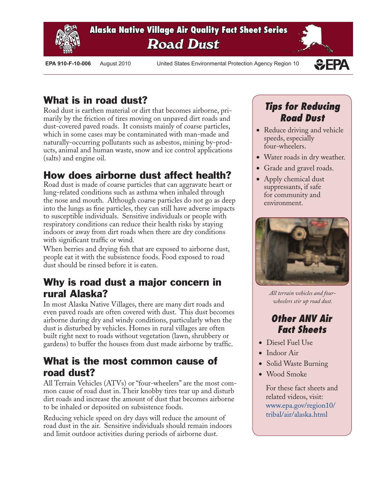

**Alaska Native Village Air Quality Fact Sheet Series Road Dust**

 **EPA 910-F-10-006** August 2010 United States Environmental Protection Agency Region 10



## What is in road dust?

Road dust is earthen material or dirt that becomes airborne, primarily by the friction of tires moving on unpaved dirt roads and dust-covered paved roads. It consists mainly of coarse particles, which in some cases may be contaminated with man-made and naturally-occurring pollutants such as asbestos, mining by-products, animal and human waste, snow and ice control applications (salts) and engine oil.

### How does airborne dust affect health?

Road dust is made of coarse particles that can aggravate heart or lung-related conditions such as asthma when inhaled through the nose and mouth. Although coarse particles do not go as deep into the lungs as fine particles, they can still have adverse impacts to susceptible individuals. Sensitive individuals or people with respiratory conditions can reduce their health risks by staying indoors or away from dirt roads when there are dry conditions with significant traffic or wind.

When berries and drying fish that are exposed to airborne dust, people eat it with the subsistence foods. Food exposed to road dust should be rinsed before it is eaten.

### Why is road dust a major concern in rural Alaska?

In most Alaska Native Villages, there are many dirt roads and even paved roads are often covered with dust. This dust becomes airborne during dry and windy conditions, particularly when the dust is disturbed by vehicles. Homes in rural villages are often built right next to roads without vegetation (lawn, shrubbery or gardens) to buffer the houses from dust made airborne by traffic.

### What is the most common cause of road dust?

All Terrain Vehicles (ATVs) or "four-wheelers" are the most common cause of road dust in. Their knobby tires tear up and disturb dirt roads and increase the amount of dust that becomes airborne to be inhaled or deposited on subsistence foods.

Reducing vehicle speed on dry days will reduce the amount of road dust in the air. Sensitive individuals should remain indoors and limit outdoor activities during periods of airborne dust.

## *Tips for Reducing Road Dust*

- Reduce driving and vehicle speeds, especially four-wheelers.
- Water roads in dry weather.
- Grade and gravel roads.
- Apply chemical dust suppressants, if safe for community and environment.



*All terrain vehicles and fourwheelers stir up road dust.*

### *Other ANV Air Fact Sheets*

- Diesel Fuel Use
- Indoor Air
- Solid Waste Burning
- Wood Smoke

For these fact sheets and related videos, visit: [www.epa.gov/region10/](http://www.epa.gov/region10/tribal/air/alaska.html) tribal/air/alaska.html